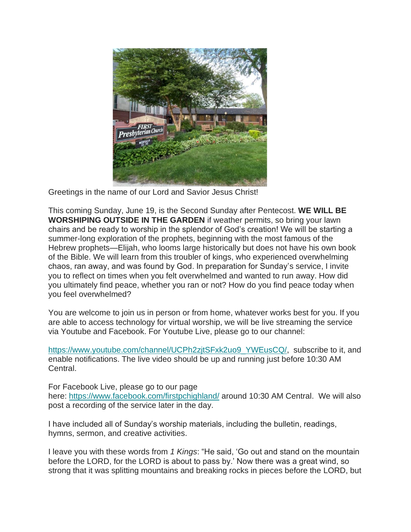

Greetings in the name of our Lord and Savior Jesus Christ!

This coming Sunday, June 19, is the Second Sunday after Pentecost. **WE WILL BE WORSHIPING OUTSIDE IN THE GARDEN** if weather permits, so bring your lawn chairs and be ready to worship in the splendor of God's creation! We will be starting a summer-long exploration of the prophets, beginning with the most famous of the Hebrew prophets—Elijah, who looms large historically but does not have his own book of the Bible. We will learn from this troubler of kings, who experienced overwhelming chaos, ran away, and was found by God. In preparation for Sunday's service, I invite you to reflect on times when you felt overwhelmed and wanted to run away. How did you ultimately find peace, whether you ran or not? How do you find peace today when you feel overwhelmed?

You are welcome to join us in person or from home, whatever works best for you. If you are able to access technology for virtual worship, we will be live streaming the service via Youtube and Facebook. For Youtube Live, please go to our channel:

[https://www.youtube.com/channel/UCPh2zjtSFxk2uo9\\_YWEusCQ/,](https://nam12.safelinks.protection.outlook.com/?url=https%3A%2F%2Ffpchighland.us19.list-manage.com%2Ftrack%2Fclick%3Fu%3D3f8b497b53e5a30c9c87f0ff8%26id%3D807d164566%26e%3D74dc427fbf&data=05%7C01%7C%7Cfebf3fefeeb74d86f75d08da4f9bda0e%7C84df9e7fe9f640afb435aaaaaaaaaaaa%7C1%7C0%7C637909828051119116%7CUnknown%7CTWFpbGZsb3d8eyJWIjoiMC4wLjAwMDAiLCJQIjoiV2luMzIiLCJBTiI6Ik1haWwiLCJXVCI6Mn0%3D%7C3000%7C%7C%7C&sdata=5GFSKcAMjjGlSw15c502sidz8kdGDtnuoOPyVefF2AI%3D&reserved=0) subscribe to it, and enable notifications. The live video should be up and running just before 10:30 AM Central.

For Facebook Live, please go to our page here: [https://www.facebook.com/firstpchighland/](https://nam12.safelinks.protection.outlook.com/?url=https%3A%2F%2Ffpchighland.us19.list-manage.com%2Ftrack%2Fclick%3Fu%3D3f8b497b53e5a30c9c87f0ff8%26id%3D87135c839c%26e%3D74dc427fbf&data=05%7C01%7C%7Cfebf3fefeeb74d86f75d08da4f9bda0e%7C84df9e7fe9f640afb435aaaaaaaaaaaa%7C1%7C0%7C637909828051119116%7CUnknown%7CTWFpbGZsb3d8eyJWIjoiMC4wLjAwMDAiLCJQIjoiV2luMzIiLCJBTiI6Ik1haWwiLCJXVCI6Mn0%3D%7C3000%7C%7C%7C&sdata=FYfkFxAyh6VD8F7HVR9Hg4JKK2bcIXMJ7Jr%2BVxcLzYg%3D&reserved=0) around 10:30 AM Central. We will also post a recording of the service later in the day.

I have included all of Sunday's worship materials, including the bulletin, readings, hymns, sermon, and creative activities.

I leave you with these words from *1 Kings*: "He said, 'Go out and stand on the mountain before the LORD, for the LORD is about to pass by.' Now there was a great wind, so strong that it was splitting mountains and breaking rocks in pieces before the LORD, but